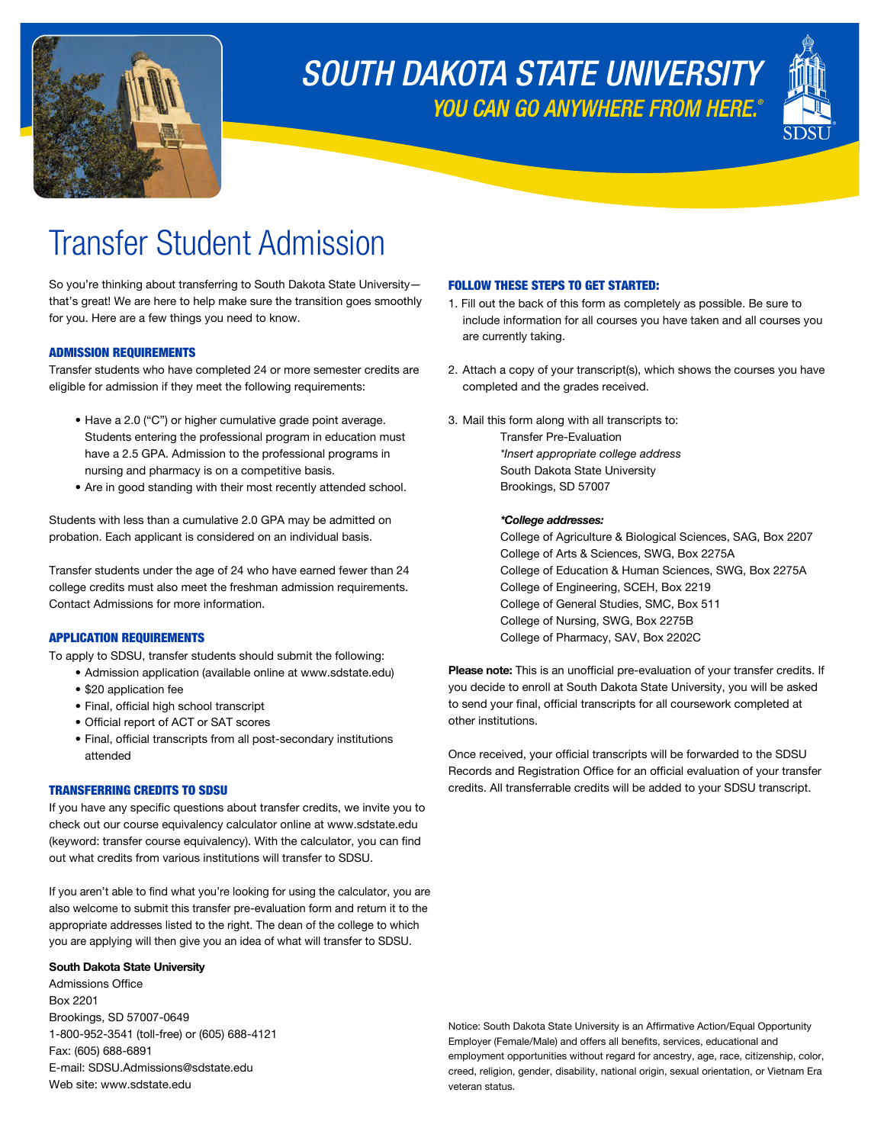

## *YOU CAN GO ANYWHERE FROM HERE.® SOUTH DAKOTA STATE UNIVERSITY*



# Transfer Student Admission

So you're thinking about transferring to South Dakota State University that's great! We are here to help make sure the transition goes smoothly for you. Here are a few things you need to know.

### ADMISSION REQUIREMENTS

Transfer students who have completed 24 or more semester credits are eligible for admission if they meet the following requirements:

- Have a 2.0 ("C") or higher cumulative grade point average. Students entering the professional program in education must have a 2.5 GPA. Admission to the professional programs in nursing and pharmacy is on a competitive basis.
- Are in good standing with their most recently attended school.

Students with less than a cumulative 2.0 GPA may be admitted on probation. Each applicant is considered on an individual basis.

Transfer students under the age of 24 who have earned fewer than 24 college credits must also meet the freshman admission requirements. Contact Admissions for more information.

### APPLICATION REQUIREMENTS

To apply to SDSU, transfer students should submit the following:

- Admission application (available online at <www.sdstate.edu>)
- \$20 application fee
- Final, official high school transcript
- Official report of ACT or SAT scores
- Final, official transcripts from all post-secondary institutions attended

#### TRANSFERRING CREDITS TO SDSU

If you have any specific questions about transfer credits, we invite you to check out our course equivalency calculator online at<www.sdstate.edu> (keyword: transfer course equivalency). With the calculator, you can find out what credits from various institutions will transfer to SDSU.

If you aren't able to find what you're looking for using the calculator, you are also welcome to submit this transfer pre-evaluation form and return it to the appropriate addresses listed to the right. The dean of the college to which you are applying will then give you an idea of what will transfer to SDSU.

#### **South Dakota State University**

Admissions Office Box 2201 Brookings, SD 57007-0649 1-800-952-3541 (toll-free) or (605) 688-4121 Fax: (605) 688-6891 E-mail: [SDSU.Admissions@sdstate.edu](mailto:SDSU.Admissions@sdstate.edu) Web site: <www.sdstate.edu>

#### FOLLOW THESE STEPS TO GET STARTED:

- 1. Fill out the back of this form as completely as possible. Be sure to include information for all courses you have taken and all courses you are currently taking.
- 2. Attach a copy of your transcript(s), which shows the courses you have completed and the grades received.
- 3. Mail this form along with all transcripts to: Transfer Pre-Evaluation

*\*Insert appropriate college address* South Dakota State University Brookings, SD 57007

#### *\*College addresses:*

College of Agriculture & Biological Sciences, SAG, Box 2207 College of Arts & Sciences, SWG, Box 2275A College of Education & Human Sciences, SWG, Box 2275A College of Engineering, SCEH, Box 2219 College of General Studies, SMC, Box 511 College of Nursing, SWG, Box 2275B College of Pharmacy, SAV, Box 2202C

Please note: This is an unofficial pre-evaluation of your transfer credits. If you decide to enroll at South Dakota State University, you will be asked to send your final, official transcripts for all coursework completed at other institutions.

Once received, your official transcripts will be forwarded to the SDSU Records and Registration Office for an official evaluation of your transfer credits. All transferrable credits will be added to your SDSU transcript.

Notice: South Dakota State University is an Affirmative Action/Equal Opportunity Employer (Female/Male) and offers all benefits, services, educational and employment opportunities without regard for ancestry, age, race, citizenship, color, creed, religion, gender, disability, national origin, sexual orientation, or Vietnam Era veteran status.